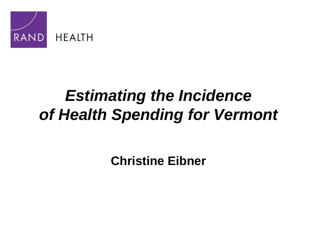

# *Estimating the Incidence of Health Spending for Vermont*

**Christine Eibner**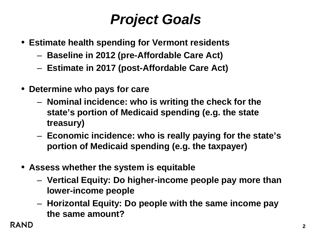# *Project Goals*

- **Estimate health spending for Vermont residents**
	- **Baseline in 2012 (pre-Affordable Care Act)**
	- **Estimate in 2017 (post-Affordable Care Act)**
- **Determine who pays for care**
	- **Nominal incidence: who is writing the check for the state's portion of Medicaid spending (e.g. the state treasury)**
	- **Economic incidence: who is really paying for the state's portion of Medicaid spending (e.g. the taxpayer)**
- **Assess whether the system is equitable**
	- **Vertical Equity: Do higher-income people pay more than lower-income people**
	- **Horizontal Equity: Do people with the same income pay the same amount?**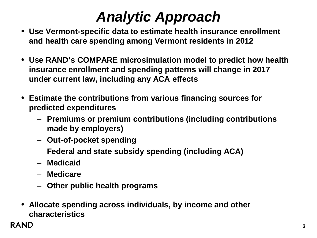# *Analytic Approach*

- **Use Vermont-specific data to estimate health insurance enrollment and health care spending among Vermont residents in 2012**
- **Use RAND's COMPARE microsimulation model to predict how health insurance enrollment and spending patterns will change in 2017 under current law, including any ACA effects**
- **Estimate the contributions from various financing sources for predicted expenditures** 
	- **Premiums or premium contributions (including contributions made by employers)**
	- **Out-of-pocket spending**
	- **Federal and state subsidy spending (including ACA)**
	- **Medicaid**
	- **Medicare**
	- **Other public health programs**
- **Allocate spending across individuals, by income and other characteristics**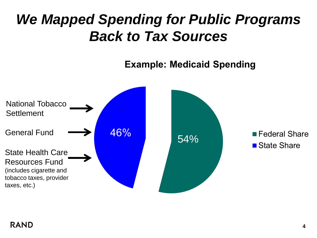# *We Mapped Spending for Public Programs Back to Tax Sources*

**Example: Medicaid Spending** 

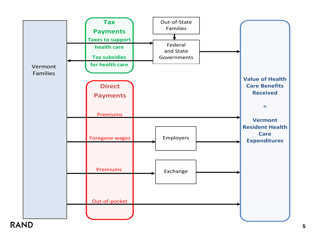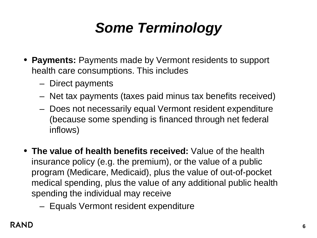# *Some Terminology*

- **Payments:** Payments made by Vermont residents to support health care consumptions. This includes
	- Direct payments
	- Net tax payments (taxes paid minus tax benefits received)
	- Does not necessarily equal Vermont resident expenditure (because some spending is financed through net federal inflows)
- **The value of health benefits received:** Value of the health insurance policy (e.g. the premium), or the value of a public program (Medicare, Medicaid), plus the value of out-of-pocket medical spending, plus the value of any additional public health spending the individual may receive
	- Equals Vermont resident expenditure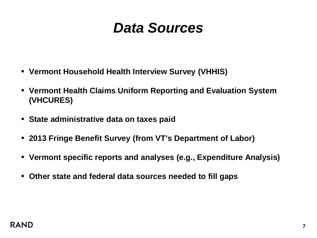#### *Data Sources*

- **Vermont Household Health Interview Survey (VHHIS)**
- **Vermont Health Claims Uniform Reporting and Evaluation System (VHCURES)**
- **State administrative data on taxes paid**
- **2013 Fringe Benefit Survey (from VT's Department of Labor)**
- **Vermont specific reports and analyses (e.g., Expenditure Analysis)**
- **Other state and federal data sources needed to fill gaps**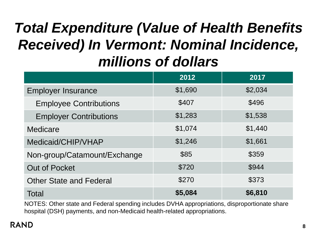# *Total Expenditure (Value of Health Benefits Received) In Vermont: Nominal Incidence, millions of dollars*

|                                | 2012    | 2017    |
|--------------------------------|---------|---------|
| <b>Employer Insurance</b>      | \$1,690 | \$2,034 |
| <b>Employee Contributions</b>  | \$407   | \$496   |
| <b>Employer Contributions</b>  | \$1,283 | \$1,538 |
| Medicare                       | \$1,074 | \$1,440 |
| Medicaid/CHIP/VHAP             | \$1,246 | \$1,661 |
| Non-group/Catamount/Exchange   | \$85    | \$359   |
| <b>Out of Pocket</b>           | \$720   | \$944   |
| <b>Other State and Federal</b> | \$270   | \$373   |
| Total                          | \$5,084 | \$6,810 |

NOTES: Other state and Federal spending includes DVHA appropriations, disproportionate share hospital (DSH) payments, and non-Medicaid health-related appropriations.

#### **RAND**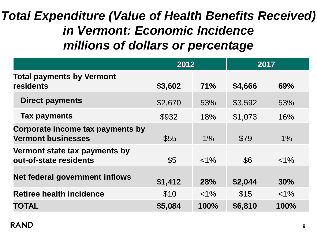#### *Total Expenditure (Value of Health Benefits Received) in Vermont: Economic Incidence millions of dollars or percentage*

|                                                               | 2012       |            | 2017    |         |
|---------------------------------------------------------------|------------|------------|---------|---------|
| <b>Total payments by Vermont</b><br>residents                 | \$3,602    | 71%        | \$4,666 | 69%     |
| <b>Direct payments</b>                                        | \$2,670    | 53%        | \$3,592 | 53%     |
| <b>Tax payments</b>                                           | \$932      | 18%        | \$1,073 | 16%     |
| Corporate income tax payments by<br><b>Vermont businesses</b> | \$55       | $1\%$      | \$79    | 1%      |
| Vermont state tax payments by<br>out-of-state residents       | $\sqrt{5}$ | $< 1\%$    | \$6     | $< 1\%$ |
| Net federal government inflows                                | \$1,412    | <b>28%</b> | \$2,044 | 30%     |
| <b>Retiree health incidence</b>                               | \$10       | $< 1\%$    | \$15    | $< 1\%$ |
| <b>TOTAL</b>                                                  | \$5,084    | 100%       | \$6,810 | 100%    |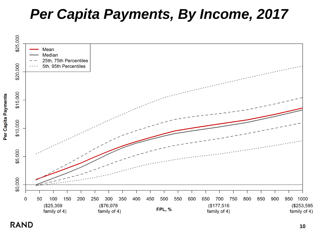#### *Per Capita Payments, By Income, 2017*



**RAND** 

Per Capita Payments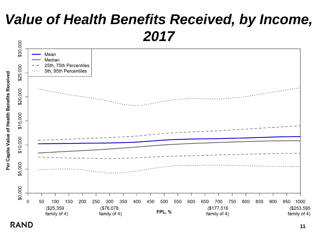# *Value of Health Benefits Received, by Income, 2017*



**RAND**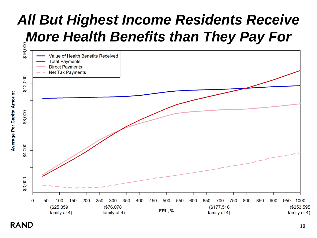# *All But Highest Income Residents Receive*

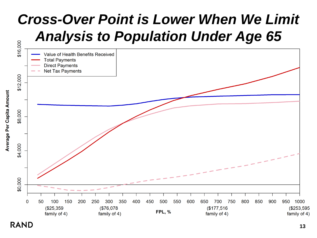# *Cross-Over Point is Lower When We Limit Analysis to Population Under Age 65*



**RAND** 

Average Per Capita Amount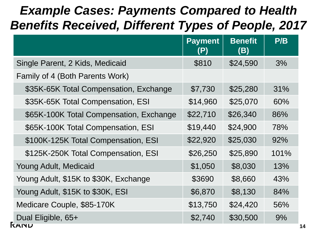#### *Example Cases: Payments Compared to Health Benefits Received, Different Types of People, 2017*

|                                         | <b>Payment</b><br>(P) | <b>Benefit</b><br>(B) | P/B  |
|-----------------------------------------|-----------------------|-----------------------|------|
| Single Parent, 2 Kids, Medicaid         | \$810                 | \$24,590              | 3%   |
| Family of 4 (Both Parents Work)         |                       |                       |      |
| \$35K-65K Total Compensation, Exchange  | \$7,730               | \$25,280              | 31%  |
| \$35K-65K Total Compensation, ESI       | \$14,960              | \$25,070              | 60%  |
| \$65K-100K Total Compensation, Exchange | \$22,710              | \$26,340              | 86%  |
| \$65K-100K Total Compensation, ESI      | \$19,440              | \$24,900              | 78%  |
| \$100K-125K Total Compensation, ESI     | \$22,920              | \$25,030              | 92%  |
| \$125K-250K Total Compensation, ESI     | \$26,250              | \$25,890              | 101% |
| Young Adult, Medicaid                   | \$1,050               | \$8,030               | 13%  |
| Young Adult, \$15K to \$30K, Exchange   | \$3690                | \$8,660               | 43%  |
| Young Adult, \$15K to \$30K, ESI        | \$6,870               | \$8,130               | 84%  |
| Medicare Couple, \$85-170K              | \$13,750              | \$24,420              | 56%  |
| Dual Eligible, 65+<br><b>TAIND</b>      | \$2,740               | \$30,500              | 9%   |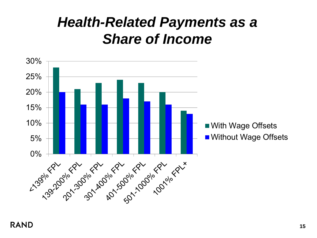### *Health-Related Payments as a Share of Income*

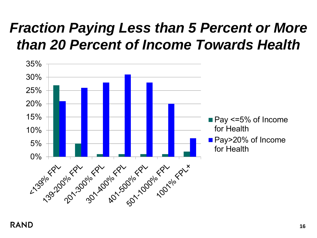# *Fraction Paying Less than 5 Percent or More than 20 Percent of Income Towards Health*